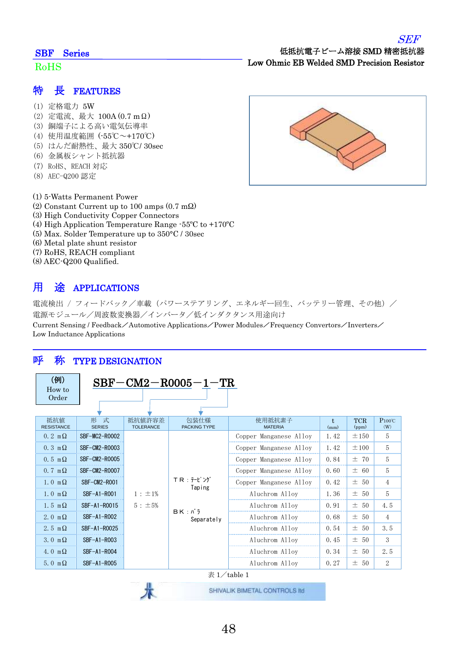#### SBF Series

#### RoHS

- (1) 定格電力 5W
- (2) 定電流、最大 100A (0.7 mΩ)
- (3) 銅端子による高い電気伝導率
- (4) 使用温度範囲 (-55℃~+170℃)
- (5) はんだ耐熱性、最大 350℃/ 30sec
- (6) 金属板シャント抵抗器
- (7) RoHS、REACH 対応
- (8) AEC-Q200 認定
- (1) 5-Watts Permanent Power
- (2) Constant Current up to 100 amps (0.7 mΩ)
- (3) High Conductivity Copper Connectors
- (4) High Application Temperature Range -55ºC to +170ºC
- (5) Max. Solder Temperature up to 350°C / 30sec
- (6) Metal plate shunt resistor
- (7) RoHS, REACH compliant
- (8) AEC-Q200 Qualified.

## 用 途 APPLICATIONS

電流検出 / フィードバック/車載(パワーステアリング、エネルギー回生、バッテリー管理、その他)/ 電源モジュール/周波数変換器/インバータ/低インダクタンス用途向け

Current Sensing / Feedback/Automotive Applications/Power Modules/Frequency Convertors/Inverters/ Low Inductance Applications

### 呼 称 TYPE DESIGNATION

| (例)<br>How to                     | $SBF-CM2-R0005-1-TR$ |                            |                               |                          |               |                     |                        |
|-----------------------------------|----------------------|----------------------------|-------------------------------|--------------------------|---------------|---------------------|------------------------|
| Order                             |                      |                            |                               |                          |               |                     |                        |
|                                   |                      |                            |                               |                          |               |                     |                        |
| 抵抗值<br><b>RESISTANCE</b>          | 形 式<br><b>SERIES</b> | 抵抗值許容差<br><b>TOLERANCE</b> | 包装仕様<br><b>PACKING TYPE</b>   | 使用抵抗素子<br><b>MATERIA</b> | $t$ .<br>(mm) | <b>TCR</b><br>(ppm) | $P100^{\circ}C$<br>(W) |
| $0.2 \text{ m}\Omega$             | SBF-MC2-R0002        |                            |                               | Copper Manganese Alloy   | 1.42          | ±150                | 5                      |
| $0.3 \text{ m}\Omega$             | SBF-CM2-R0003        |                            |                               | Copper Manganese Alloy   | 1.42          | ±100                | 5                      |
| $0.5 \text{ m}\Omega$             | SBF-CM2-R0005        |                            |                               | Copper Manganese Alloy   | 0.84          | ±70                 | 5                      |
| $0.7 \text{ m}\Omega$             | SBF-CM2-R0007        |                            |                               | Copper Manganese Alloy   | 0.60          | ± 60                | 5                      |
| $1.0 \text{ m}\Omega$             | SBF-CM2-R001         |                            | TR : テーピング<br>Taping          | Copper Manganese Alloy   | 0.42          | ± 50                | $\overline{4}$         |
| $1.0 \text{ m}\Omega$             | SBF-A1-R001          | $1 : \pm 1\%$              |                               | Aluchrom Alloy           | 1.36          | $\pm$ 50            | 5                      |
| $1.5 \text{ m}\Omega$             | SBF-A1-R0015         | $5: \pm 5\%$               | $BK: N \bar{7}$<br>Separately | Aluchrom Alloy           | 0.91          | ± 50                | 4.5                    |
| 2.0 m $\Omega$                    | SBF-A1-R002          |                            |                               | Aluchrom Alloy           | 0.68          | $\pm$ 50            | 4                      |
| 2.5 m $\Omega$                    | SBF-A1-R0025         |                            |                               | Aluchrom Alloy           | 0.54          | ± 50                | 3.5                    |
| 3.0 $m\Omega$                     | SBF-A1-R003          |                            |                               | Aluchrom Alloy           | 0.45          | ± 50                | 3                      |
| 4.0 m $\Omega$                    | SBF-A1-R004          |                            |                               | Aluchrom Alloy           | 0.34          | ± 50                | 2.5                    |
| 5.0 m $\Omega$                    | SBF-A1-R005          |                            |                               | Aluchrom Alloy           | 0.27          | ± 50                | 2                      |
| 表 $1/\tanh 1$                     |                      |                            |                               |                          |               |                     |                        |
| The Company of the Company of the |                      |                            |                               |                          |               |                     |                        |

SEF

低抵抗電子ビーム溶接 SMD 精密抵抗器 Low Ohmic EB Welded SMD Precision Resistor

术

SHIVALIK BIMETAL CONTROLS IId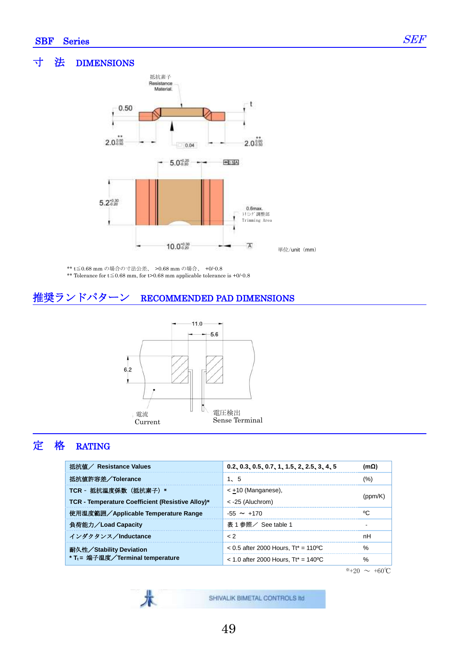Ī

#### 寸 法 DIMENSIONS



単位/unit (mm)

\*\* t≦0.68 mm の場合の寸法公差、 >0.68 mm の場合、 +0/-0.8

\*\* Tolerance for t≦0.68 mm, for t>0.68 mm applicable tolerance is +0/-0.8

### 推奨ランドパターン RECOMMENDED PAD DIMENSIONS



# 定 格 RATING

| 抵抗値 / Resistance Values                          | $0.2, 0.3, 0.5, 0.7, 1, 1.5, 2, 2.5, 3, 4, 5$ | $(m\Omega)$   |  |
|--------------------------------------------------|-----------------------------------------------|---------------|--|
| 抵抗値許容差/Tolerance                                 | 1. 5                                          | (%)           |  |
| TCR - 抵抗温度係数 (抵抗素子) *                            | $\leq$ +10 (Manganese),                       |               |  |
| TCR - Temperature Coefficient (Resistive Alloy)* | $\leq$ -25 (Aluchrom)                         |               |  |
| 使用温度範囲/Applicable Temperature Range              | $-55 \sim +170$                               | °C.           |  |
| 負荷能力/Load Capacity                               | 表 1 参照/ See table 1                           |               |  |
| インダクタンス/Inductance                               | $\epsilon$ 2                                  | nН            |  |
| 耐久性/Stability Deviation                          | $< 0.5$ after 2000 Hours, Tt* = 110 °C        | $\frac{0}{0}$ |  |
| * T <sub>t</sub> = 端子温度/Terminal temperature     | $<$ 1.0 after 2000 Hours. Tt* = 140 °C        | %             |  |

 $*+20 \sim +60$ °C

SHIVALIK BIMETAL CONTROLS IId